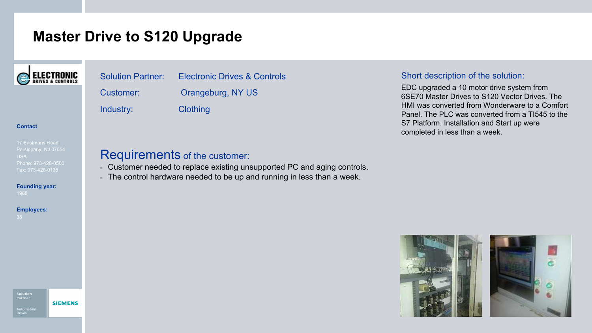## **Master Drive to S120 Upgrade**



## Solution Partner: Electronic Drives & Controls Customer: Orangeburg, NY US Industry: Clothing

#### Short description of the solution:

EDC upgraded a 10 motor drive system from 6SE70 Master Drives to S120 Vector Drives. The HMI was converted from Wonderware to a Comfort Panel. The PLC was converted from a TI545 to the S7 Platform. Installation and Start up were completed in less than a week.

#### **Contact**

#### 17 Eastmans Road USA Phone: 973-428-0500

**Founding year:**

### **Employees:**

**SIEMENS** 

### Requirements of the customer:

- Customer needed to replace existing unsupported PC and aging controls.
- The control hardware needed to be up and running in less than a week.